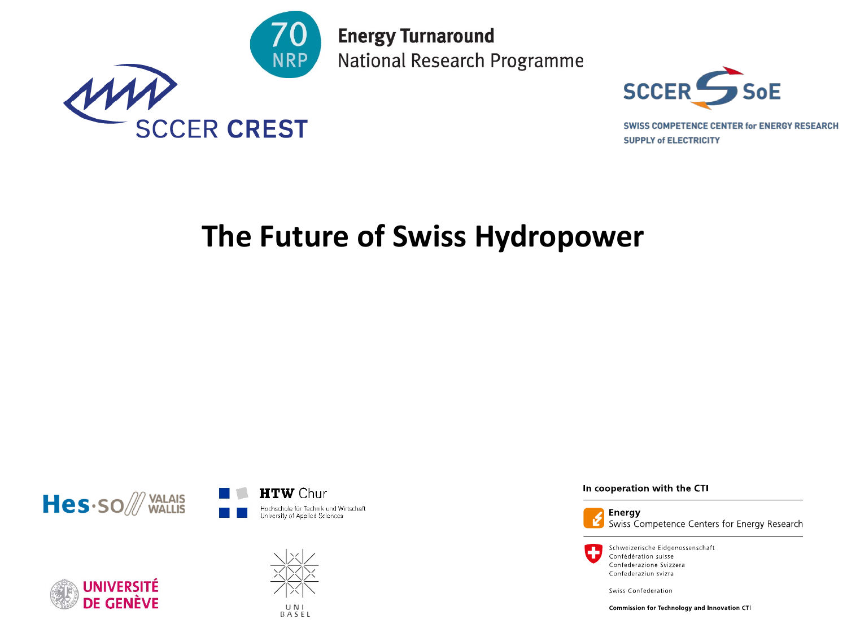

**Energy Turnaround** National Research Programme



**SWISS COMPETENCE CENTER for ENERGY RESEARCH SUPPLY of ELECTRICITY** 

## **The Future of Swiss Hydropower**







In cooperation with the CTI



**Energy** Swiss Competence Centers for Energy Research

Schweizerische Eidgenossenschaft Confédération suisse Confederazione Svizzera Confederaziun svizra

Swiss Confederation

Commission for Technology and Innovation CTI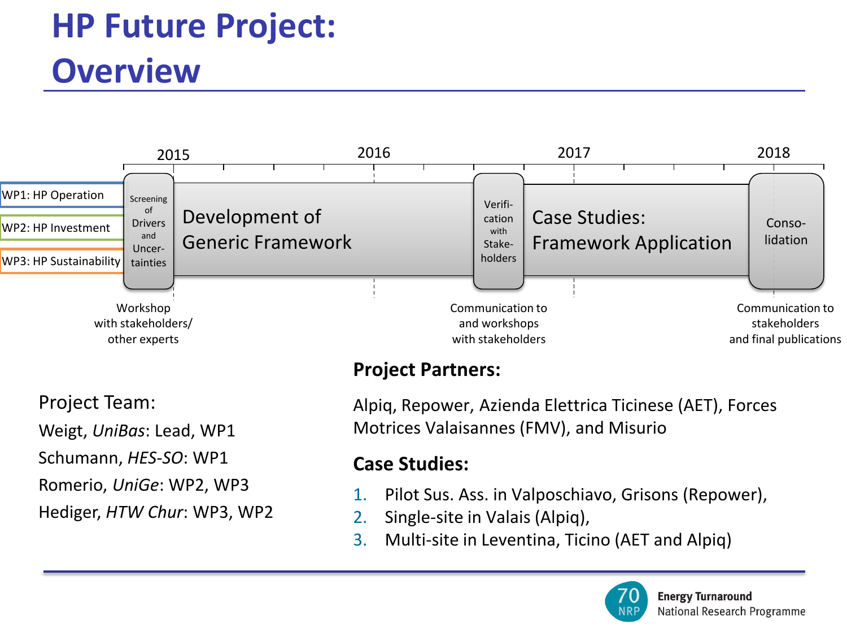## **HP Future Project: Overview**



**Project Partners:**

Project Team:

Weigt, *UniBas*: Lead, WP1

Schumann, *HES-SO*: WP1

Romerio, *UniGe*: WP2, WP3

Hediger, *HTW Chur*: WP3, WP2

Alpiq, Repower, Azienda Elettrica Ticinese (AET), Forces Motrices Valaisannes (FMV), and Misurio

### **Case Studies:**

- 1. Pilot Sus. Ass. in Valposchiavo, Grisons (Repower),
- 2. Single-site in Valais (Alpiq),
- 3. Multi-site in Leventina, Ticino (AET and Alpiq)

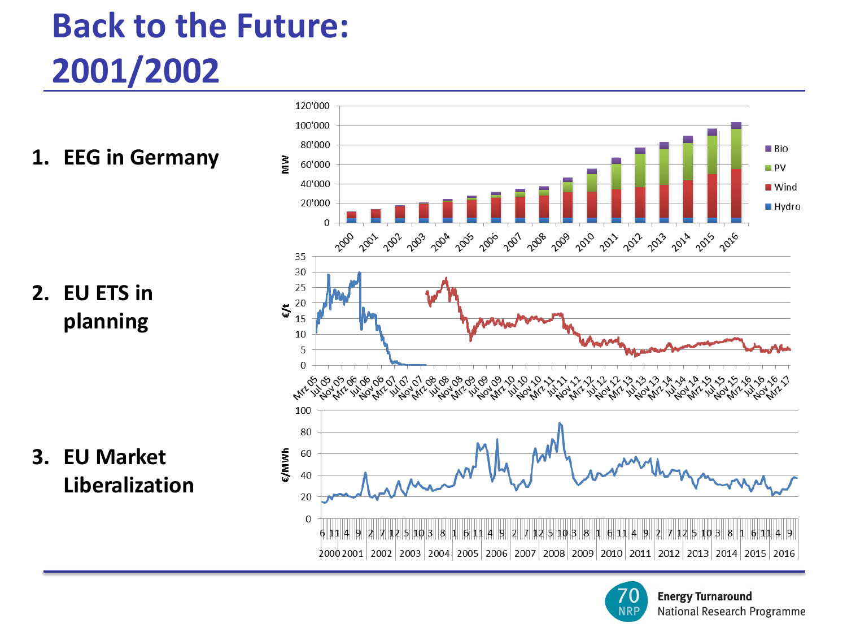# **Back to the Future: 2001/2002**

**1. EEG in Germany**

**2. EU ETS in planning**

**3. EU Market Liberalization**



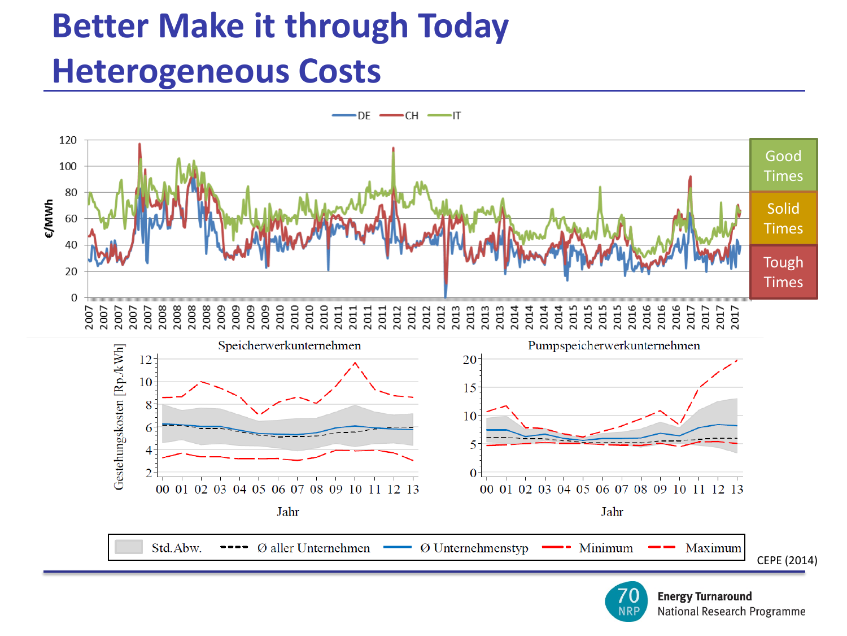## **Better Make it through Today Heterogeneous Costs**

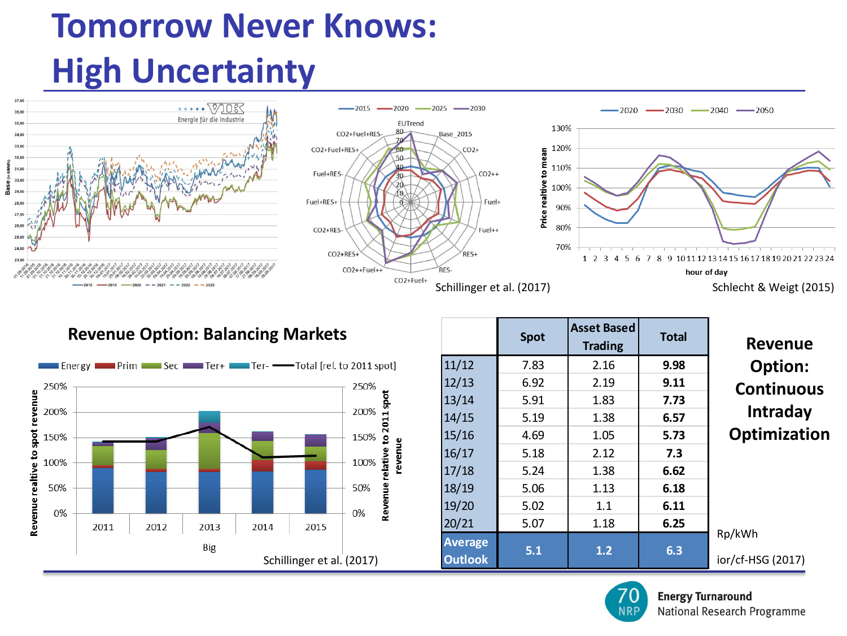## **Tomorrow Never Knows: High Uncertainty**



#### **Revenue Option: Balancing Markets**



|                                  | <b>Spot</b> | <b>Asset Based</b><br><b>Trading</b> | <b>Total</b> | <b>Revenue</b>              |
|----------------------------------|-------------|--------------------------------------|--------------|-----------------------------|
| 11/12                            | 7.83        | 2.16                                 | 9.98         | Option:                     |
| 12/13                            | 6.92        | 2.19                                 | 9.11         | <b>Continuous</b>           |
| 13/14                            | 5.91        | 1.83                                 | 7.73         |                             |
| 14/15                            | 5.19        | 1.38                                 | 6.57         | <b>Intraday</b>             |
| 15/16                            | 4.69        | 1.05                                 | 5.73         | Optimization                |
| 16/17                            | 5.18        | 2.12                                 | 7.3          |                             |
| 17/18                            | 5.24        | 1.38                                 | 6.62         |                             |
| 18/19                            | 5.06        | 1.13                                 | 6.18         |                             |
| 19/20                            | 5.02        | 1.1                                  | 6.11         |                             |
| 20/21                            | 5.07        | 1.18                                 | 6.25         |                             |
| <b>Average</b><br><b>Outlook</b> | 5.1         | 1.2                                  | 6.3          | Rp/kWh<br>ior/cf-HSG (2017) |

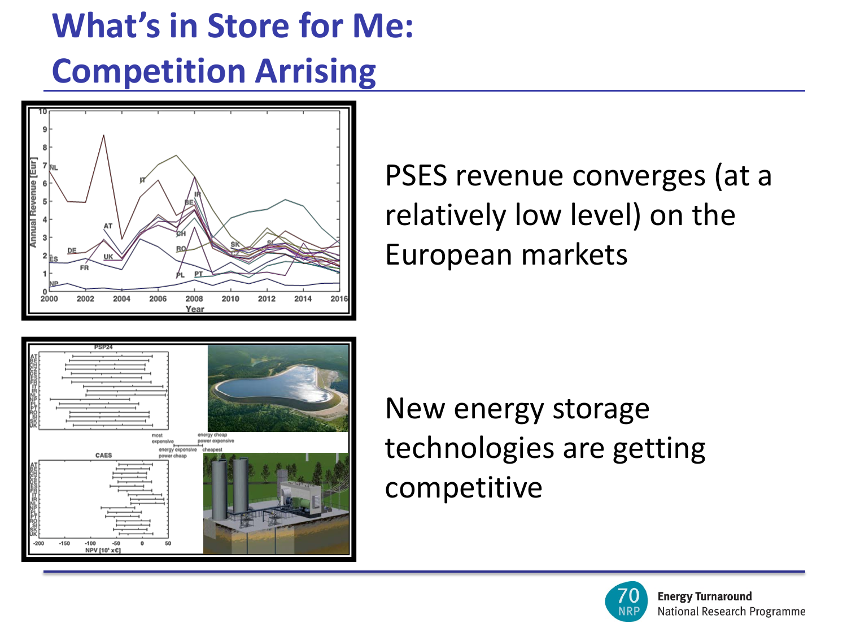# **What's in Store for Me: Competition Arrising**



PSES revenue converges (at a relatively low level) on the European markets



New energy storage technologies are getting competitive

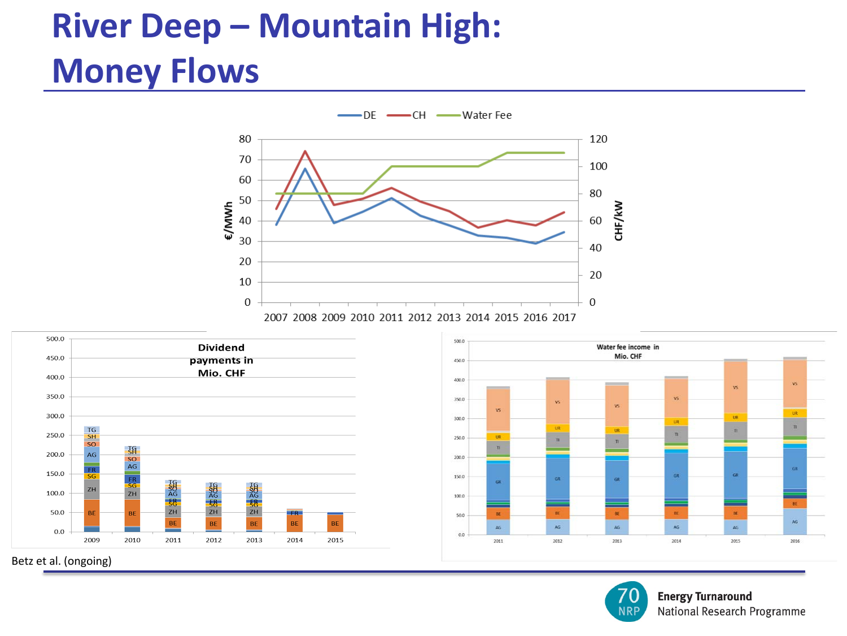## **River Deep – Mountain High: Money Flows**







**NRP** 

Betz et al. (ongoing)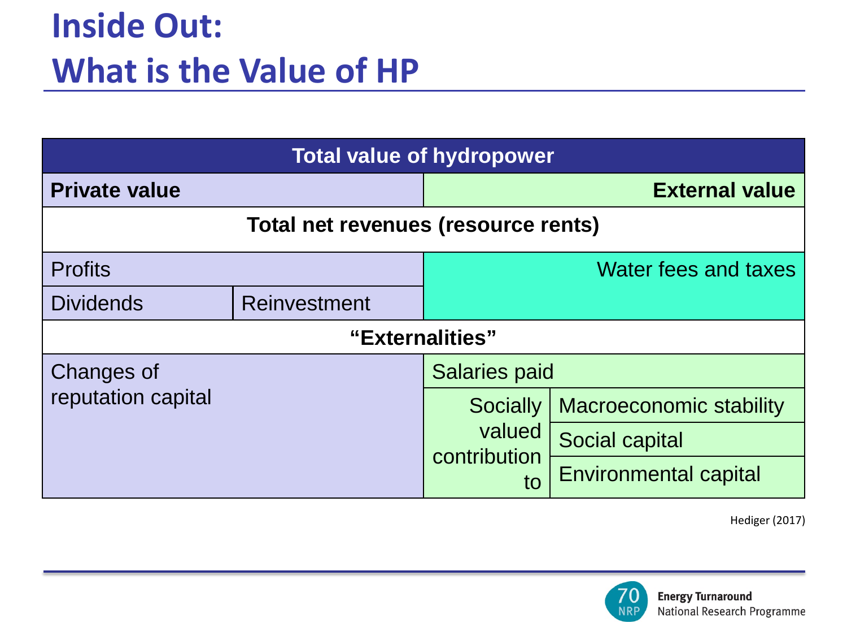| <b>Total value of hydropower</b>    |  |                                          |                                |  |  |  |  |
|-------------------------------------|--|------------------------------------------|--------------------------------|--|--|--|--|
| <b>Private value</b>                |  | <b>External value</b>                    |                                |  |  |  |  |
| Total net revenues (resource rents) |  |                                          |                                |  |  |  |  |
| <b>Profits</b>                      |  | Water fees and taxes                     |                                |  |  |  |  |
| <b>Dividends</b><br>Reinvestment    |  |                                          |                                |  |  |  |  |
| "Externalities"                     |  |                                          |                                |  |  |  |  |
| Changes of                          |  | <b>Salaries paid</b>                     |                                |  |  |  |  |
| reputation capital                  |  | Socially<br>valued<br>contribution<br>to | <b>Macroeconomic stability</b> |  |  |  |  |
|                                     |  |                                          | Social capital                 |  |  |  |  |
|                                     |  |                                          | <b>Environmental capital</b>   |  |  |  |  |

Hediger (2017)